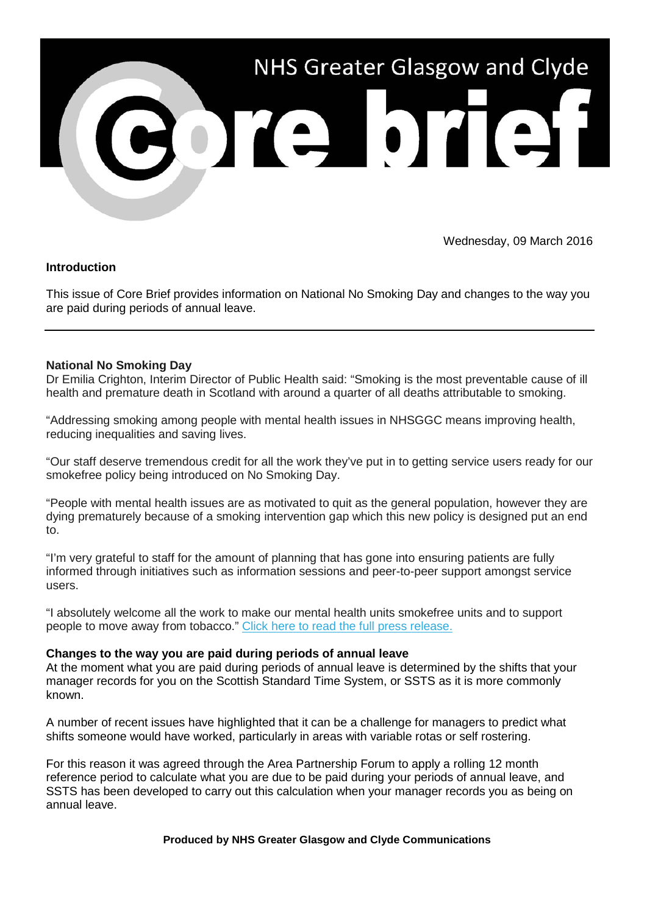

Wednesday, 09 March 2016

## **Introduction**

This issue of Core Brief provides information on National No Smoking Day and changes to the way you are paid during periods of annual leave.

## **National No Smoking Day**

Dr Emilia Crighton, Interim Director of Public Health said: "Smoking is the most preventable cause of ill health and premature death in Scotland with around a quarter of all deaths attributable to smoking.

"Addressing smoking among people with mental health issues in NHSGGC means improving health, reducing inequalities and saving lives.

"Our staff deserve tremendous credit for all the work they've put in to getting service users ready for our smokefree policy being introduced on No Smoking Day.

"People with mental health issues are as motivated to quit as the general population, however they are dying prematurely because of a smoking intervention gap which this new policy is designed put an end to.

"I'm very grateful to staff for the amount of planning that has gone into ensuring patients are fully informed through initiatives such as information sessions and peer-to-peer support amongst service users.

"I absolutely welcome all the work to make our mental health units smokefree units and to support people to move away from tobacco." [Click here to read the full press release.](http://nhsggc.us12.list-manage1.com/track/click?u=0f385b5aea37eaf0213bd19fb&id=dd18a5b44a&e=5af5e1832c)

## **Changes to the way you are paid during periods of annual leave**

At the moment what you are paid during periods of annual leave is determined by the shifts that your manager records for you on the Scottish Standard Time System, or SSTS as it is more commonly known.

A number of recent issues have highlighted that it can be a challenge for managers to predict what shifts someone would have worked, particularly in areas with variable rotas or self rostering.

For this reason it was agreed through the Area Partnership Forum to apply a rolling 12 month reference period to calculate what you are due to be paid during your periods of annual leave, and SSTS has been developed to carry out this calculation when your manager records you as being on annual leave.

**Produced by NHS Greater Glasgow and Clyde Communications**